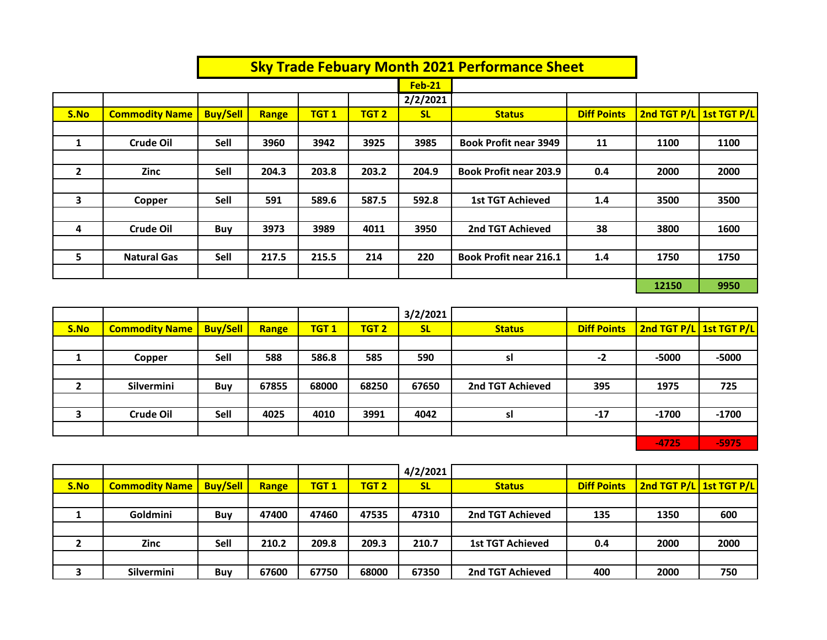|                |                       |                 |       |             |                  |               | <b>Sky Trade Febuary Month 2021 Performance Sheet</b> |                    |                         |      |
|----------------|-----------------------|-----------------|-------|-------------|------------------|---------------|-------------------------------------------------------|--------------------|-------------------------|------|
|                |                       |                 |       |             |                  | <b>Feb-21</b> |                                                       |                    |                         |      |
|                |                       |                 |       |             |                  | 2/2/2021      |                                                       |                    |                         |      |
| S.No           | <b>Commodity Name</b> | <b>Buy/Sell</b> | Range | <b>TGT1</b> | TGT <sub>2</sub> | <b>SL</b>     | <b>Status</b>                                         | <b>Diff Points</b> | 2nd TGT P/L 1st TGT P/L |      |
|                |                       |                 |       |             |                  |               |                                                       |                    |                         |      |
| 1              | <b>Crude Oil</b>      | Sell            | 3960  | 3942        | 3925             | 3985          | <b>Book Profit near 3949</b>                          | 11                 | 1100                    | 1100 |
|                |                       |                 |       |             |                  |               |                                                       |                    |                         |      |
| $\overline{2}$ | Zinc                  | Sell            | 204.3 | 203.8       | 203.2            | 204.9         | <b>Book Profit near 203.9</b>                         | 0.4                | 2000                    | 2000 |
|                |                       |                 |       |             |                  |               |                                                       |                    |                         |      |
| 3              | Copper                | Sell            | 591   | 589.6       | 587.5            | 592.8         | <b>1st TGT Achieved</b>                               | 1.4                | 3500                    | 3500 |
|                |                       |                 |       |             |                  |               |                                                       |                    |                         |      |
| 4              | <b>Crude Oil</b>      | Buy             | 3973  | 3989        | 4011             | 3950          | 2nd TGT Achieved                                      | 38                 | 3800                    | 1600 |
|                |                       |                 |       |             |                  |               |                                                       |                    |                         |      |
| 5              | <b>Natural Gas</b>    | Sell            | 217.5 | 215.5       | 214              | 220           | <b>Book Profit near 216.1</b>                         | 1.4                | 1750                    | 1750 |
|                |                       |                 |       |             |                  |               |                                                       |                    |                         |      |
|                |                       |                 |       |             |                  |               |                                                       |                    | 12150                   | 9950 |

|      |                       |                 |       |             |                  | 3/2/2021  |                  |                    |                         |         |
|------|-----------------------|-----------------|-------|-------------|------------------|-----------|------------------|--------------------|-------------------------|---------|
| S.No | <b>Commodity Name</b> | <b>Buy/Sell</b> | Range | <b>TGT1</b> | TGT <sub>2</sub> | <b>SL</b> | <b>Status</b>    | <b>Diff Points</b> | 2nd TGT P/L 1st TGT P/L |         |
|      |                       |                 |       |             |                  |           |                  |                    |                         |         |
|      | Copper                | Sell            | 588   | 586.8       | 585              | 590       | sl               | -2                 | $-5000$                 | $-5000$ |
|      |                       |                 |       |             |                  |           |                  |                    |                         |         |
|      | Silvermini            | Buy             | 67855 | 68000       | 68250            | 67650     | 2nd TGT Achieved | 395                | 1975                    | 725     |
|      |                       |                 |       |             |                  |           |                  |                    |                         |         |
| 3    | <b>Crude Oil</b>      | Sell            | 4025  | 4010        | 3991             | 4042      | sl               | $-17$              | $-1700$                 | $-1700$ |
|      |                       |                 |       |             |                  |           |                  |                    |                         |         |
|      |                       |                 |       |             |                  |           |                  |                    | $-4725$                 | $-5975$ |

|      |                       |                 |       |             |                  | 4/2/2021  |                         |                    |                         |      |
|------|-----------------------|-----------------|-------|-------------|------------------|-----------|-------------------------|--------------------|-------------------------|------|
| S.No | <b>Commodity Name</b> | <b>Buy/Sell</b> | Range | <b>TGT1</b> | TGT <sub>2</sub> | <b>SL</b> | <b>Status</b>           | <b>Diff Points</b> | 2nd TGT P/L 1st TGT P/L |      |
|      |                       |                 |       |             |                  |           |                         |                    |                         |      |
|      | Goldmini              | <b>Buy</b>      | 47400 | 47460       | 47535            | 47310     | 2nd TGT Achieved        | 135                | 1350                    | 600  |
|      |                       |                 |       |             |                  |           |                         |                    |                         |      |
|      | <b>Zinc</b>           | Sell            | 210.2 | 209.8       | 209.3            | 210.7     | <b>1st TGT Achieved</b> | 0.4                | 2000                    | 2000 |
|      |                       |                 |       |             |                  |           |                         |                    |                         |      |
|      | Silvermini            | Buy             | 67600 | 67750       | 68000            | 67350     | 2nd TGT Achieved        | 400                | 2000                    | 750  |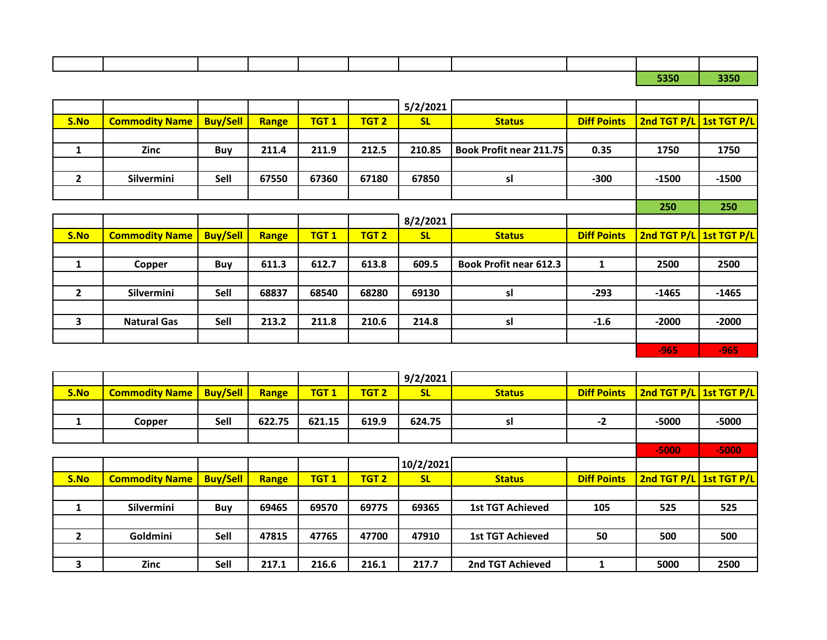|  | ----- |  |  |  |  |  |
|--|-------|--|--|--|--|--|
|  |       |  |  |  |  |  |
|  |       |  |  |  |  |  |

**5350 3350**

|              |                       |                 |       |                  |                  | 5/2/2021  |                                |                    |                         |         |
|--------------|-----------------------|-----------------|-------|------------------|------------------|-----------|--------------------------------|--------------------|-------------------------|---------|
| S.No         | <b>Commodity Name</b> | <b>Buy/Sell</b> | Range | TGT <sub>1</sub> | TGT <sub>2</sub> | <b>SL</b> | <b>Status</b>                  | <b>Diff Points</b> | 2nd TGT P/L 1st TGT P/L |         |
|              |                       |                 |       |                  |                  |           |                                |                    |                         |         |
| 1            | <b>Zinc</b>           | Buy             | 211.4 | 211.9            | 212.5            | 210.85    | <b>Book Profit near 211.75</b> | 0.35               | 1750                    | 1750    |
|              |                       |                 |       |                  |                  |           |                                |                    |                         |         |
| $\mathbf{2}$ | Silvermini            | Sell            | 67550 | 67360            | 67180            | 67850     | sl                             | $-300$             | $-1500$                 | $-1500$ |
|              |                       |                 |       |                  |                  |           |                                |                    |                         |         |
|              |                       |                 |       |                  |                  |           |                                |                    | 250                     | 250     |
|              |                       |                 |       |                  |                  | 8/2/2021  |                                |                    |                         |         |
|              |                       |                 |       |                  |                  |           |                                |                    |                         |         |
| S.No         | <b>Commodity Name</b> | <b>Buy/Sell</b> | Range | TGT <sub>1</sub> | TGT <sub>2</sub> | <b>SL</b> | <b>Status</b>                  | <b>Diff Points</b> | 2nd TGT P/L 1st TGT P/L |         |
|              |                       |                 |       |                  |                  |           |                                |                    |                         |         |
| 1            | Copper                | Buy             | 611.3 | 612.7            | 613.8            | 609.5     | <b>Book Profit near 612.3</b>  | 1                  | 2500                    | 2500    |
|              |                       |                 |       |                  |                  |           |                                |                    |                         |         |
| $\mathbf{2}$ | Silvermini            | Sell            | 68837 | 68540            | 68280            | 69130     | sl                             | $-293$             | $-1465$                 | $-1465$ |
|              |                       |                 |       |                  |                  |           |                                |                    |                         |         |
| 3            | <b>Natural Gas</b>    | Sell            | 213.2 | 211.8            | 210.6            | 214.8     | sl                             | $-1.6$             | $-2000$                 | $-2000$ |
|              |                       |                 |       |                  |                  |           |                                |                    |                         |         |

|                |                       |                 |        |             |                  | 9/2/2021  |                         |                    |                         |         |
|----------------|-----------------------|-----------------|--------|-------------|------------------|-----------|-------------------------|--------------------|-------------------------|---------|
| S.No           | <b>Commodity Name</b> | <b>Buy/Sell</b> | Range  | <b>TGT1</b> | TGT <sub>2</sub> | <b>SL</b> | <b>Status</b>           | <b>Diff Points</b> | 2nd TGT P/L 1st TGT P/L |         |
|                |                       |                 |        |             |                  |           |                         |                    |                         |         |
| 1              | Copper                | Sell            | 622.75 | 621.15      | 619.9            | 624.75    | sl                      | $-2$               | $-5000$                 | $-5000$ |
|                |                       |                 |        |             |                  |           |                         |                    |                         |         |
|                |                       |                 |        |             |                  |           |                         |                    | $-5000$                 | $-5000$ |
|                |                       |                 |        |             |                  | 10/2/2021 |                         |                    |                         |         |
| S.No           | <b>Commodity Name</b> | <b>Buy/Sell</b> | Range  | <b>TGT1</b> | <b>TGT 2</b>     | <b>SL</b> | <b>Status</b>           | <b>Diff Points</b> | 2nd TGT P/L 1st TGT P/L |         |
|                |                       |                 |        |             |                  |           |                         |                    |                         |         |
|                | Silvermini            | Buy             | 69465  | 69570       | 69775            | 69365     | <b>1st TGT Achieved</b> | 105                | 525                     | 525     |
|                |                       |                 |        |             |                  |           |                         |                    |                         |         |
| $\overline{2}$ | Goldmini              | Sell            | 47815  | 47765       | 47700            | 47910     | <b>1st TGT Achieved</b> | 50                 | 500                     | 500     |
|                |                       |                 |        |             |                  |           |                         |                    |                         |         |
| 3              | Zinc                  | Sell            | 217.1  | 216.6       | 216.1            | 217.7     | 2nd TGT Achieved        | 1                  | 5000                    | 2500    |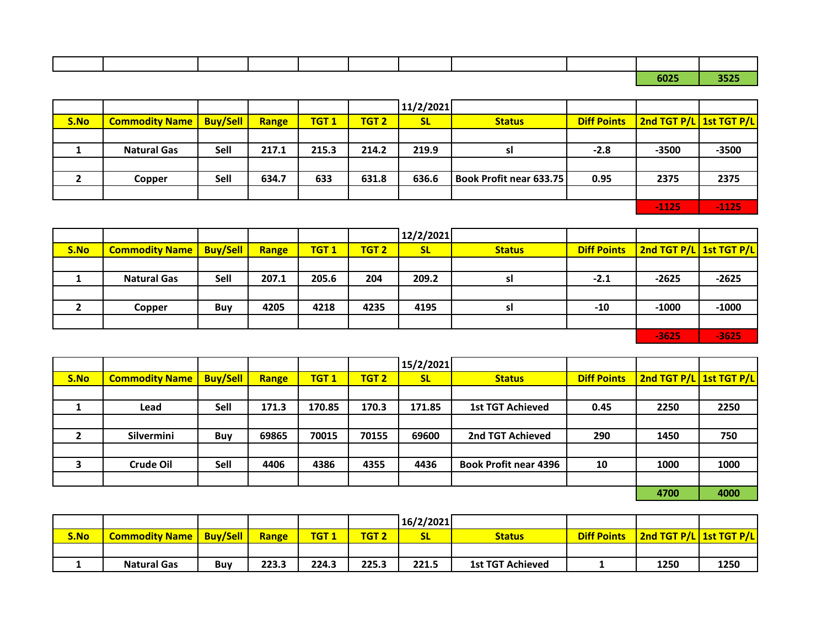|  |  |  |  |  | $ -$ | ----- |
|--|--|--|--|--|------|-------|
|  |  |  |  |  |      |       |
|  |  |  |  |  |      |       |

**6025 3525**

|      |                       |                 |       |             |                  | 11/2/2021 |                         |                    |                         |         |
|------|-----------------------|-----------------|-------|-------------|------------------|-----------|-------------------------|--------------------|-------------------------|---------|
| S.No | <b>Commodity Name</b> | <b>Buy/Sell</b> | Range | <b>TGT1</b> | TGT <sub>2</sub> | <b>SL</b> | <b>Status</b>           | <b>Diff Points</b> | 2nd TGT P/L 1st TGT P/L |         |
|      |                       |                 |       |             |                  |           |                         |                    |                         |         |
|      | <b>Natural Gas</b>    | Sell            | 217.1 | 215.3       | 214.2            | 219.9     | sl                      | $-2.8$             | $-3500$                 | $-3500$ |
|      |                       |                 |       |             |                  |           |                         |                    |                         |         |
|      | Copper                | Sell            | 634.7 | 633         | 631.8            | 636.6     | Book Profit near 633.75 | 0.95               | 2375                    | 2375    |
|      |                       |                 |       |             |                  |           |                         |                    |                         |         |
|      |                       |                 |       |             |                  |           |                         |                    | $-1125$                 | $-1125$ |

|      |                                    |      |       |             |                  | 12/2/2021 |               |        |                                       |         |
|------|------------------------------------|------|-------|-------------|------------------|-----------|---------------|--------|---------------------------------------|---------|
| S.No | <b>Commodity Name   Buy/Sell  </b> |      | Range | <b>TGT1</b> | TGT <sub>2</sub> | <b>SL</b> | <b>Status</b> |        | Diff Points   2nd TGT P/L 1st TGT P/L |         |
|      |                                    |      |       |             |                  |           |               |        |                                       |         |
|      | <b>Natural Gas</b>                 | Sell | 207.1 | 205.6       | 204              | 209.2     | sl            | $-2.1$ | $-2625$                               | $-2625$ |
|      |                                    |      |       |             |                  |           |               |        |                                       |         |
|      | Copper                             | Buy  | 4205  | 4218        | 4235             | 4195      | sl            | $-10$  | $-1000$                               | $-1000$ |
|      |                                    |      |       |             |                  |           |               |        |                                       |         |
|      |                                    |      |       |             |                  |           |               |        | $-3625$                               | $-3625$ |

|      |                       |                 |       |             |                  | 15/2/2021 |                              |                    |                         |      |
|------|-----------------------|-----------------|-------|-------------|------------------|-----------|------------------------------|--------------------|-------------------------|------|
| S.No | <b>Commodity Name</b> | <b>Buy/Sell</b> | Range | <b>TGT1</b> | TGT <sub>2</sub> | <b>SL</b> | <b>Status</b>                | <b>Diff Points</b> | 2nd TGT P/L 1st TGT P/L |      |
|      |                       |                 |       |             |                  |           |                              |                    |                         |      |
|      | Lead                  | Sell            | 171.3 | 170.85      | 170.3            | 171.85    | <b>1st TGT Achieved</b>      | 0.45               | 2250                    | 2250 |
|      |                       |                 |       |             |                  |           |                              |                    |                         |      |
|      | Silvermini            | Buy             | 69865 | 70015       | 70155            | 69600     | 2nd TGT Achieved             | 290                | 1450                    | 750  |
|      |                       |                 |       |             |                  |           |                              |                    |                         |      |
| 3    | Crude Oil             | Sell            | 4406  | 4386        | 4355             | 4436      | <b>Book Profit near 4396</b> | 10                 | 1000                    | 1000 |
|      |                       |                 |       |             |                  |           |                              |                    |                         |      |
|      |                       |                 |       |             |                  |           |                              |                    | 4700                    | 4000 |

|      |                                    |     |       |             |              | 16/2/2021 |                         |                    |                         |      |
|------|------------------------------------|-----|-------|-------------|--------------|-----------|-------------------------|--------------------|-------------------------|------|
| S.No | <b>Commodity Name   Buy/Sell  </b> |     | Range | <b>TGT1</b> | <b>TGT 2</b> | ж         | <b>Status</b>           | <b>Diff Points</b> | 2nd TGT P/L 1st TGT P/L |      |
|      |                                    |     |       |             |              |           |                         |                    |                         |      |
|      | <b>Natural Gas</b>                 | Buv | 223.3 | 224.3       | 225.3        | 221.5     | <b>1st TGT Achieved</b> |                    | 1250                    | 1250 |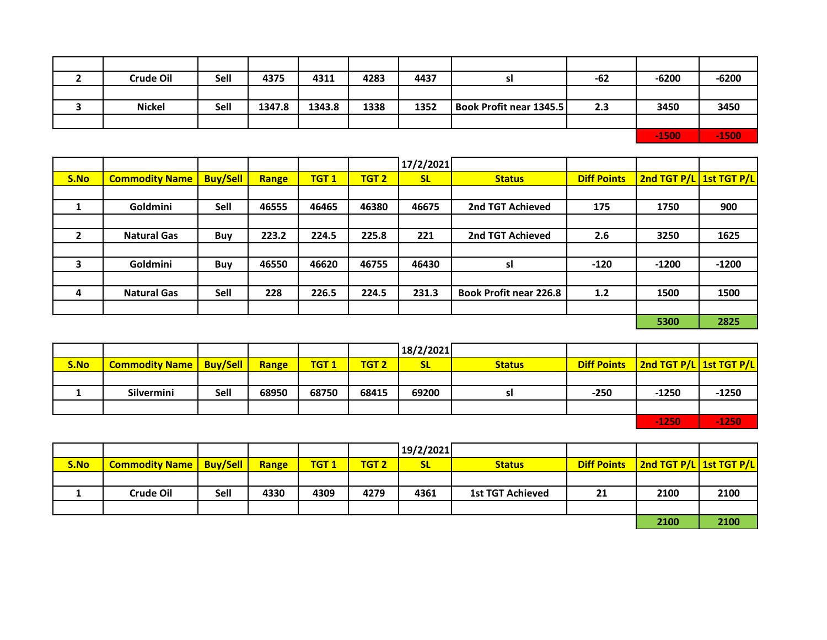| <b>Crude Oil</b> | Sell | 4375   | 4311   | 4283 | 4437 | SI                             | $-62$ | $-6200$ | $-6200$      |
|------------------|------|--------|--------|------|------|--------------------------------|-------|---------|--------------|
|                  |      |        |        |      |      |                                |       |         |              |
| <b>Nickel</b>    | Sell | 1347.8 | 1343.8 | 1338 | 1352 | <b>Book Profit near 1345.5</b> | 2.3   | 3450    | 3450         |
|                  |      |        |        |      |      |                                |       |         |              |
|                  |      |        |        |      |      |                                |       | $-1500$ | <b>A1500</b> |

|              |                       |                 |       |             |                  | 17/2/2021 |                               |                    |                         |         |
|--------------|-----------------------|-----------------|-------|-------------|------------------|-----------|-------------------------------|--------------------|-------------------------|---------|
| S.No         | <b>Commodity Name</b> | <b>Buy/Sell</b> | Range | <b>TGT1</b> | TGT <sub>2</sub> | <b>SL</b> | <b>Status</b>                 | <b>Diff Points</b> | 2nd TGT P/L 1st TGT P/L |         |
|              |                       |                 |       |             |                  |           |                               |                    |                         |         |
|              | Goldmini              | Sell            | 46555 | 46465       | 46380            | 46675     | 2nd TGT Achieved              | 175                | 1750                    | 900     |
|              |                       |                 |       |             |                  |           |                               |                    |                         |         |
| $\mathbf{2}$ | <b>Natural Gas</b>    | <b>Buy</b>      | 223.2 | 224.5       | 225.8            | 221       | 2nd TGT Achieved              | 2.6                | 3250                    | 1625    |
|              |                       |                 |       |             |                  |           |                               |                    |                         |         |
|              | Goldmini              | <b>Buy</b>      | 46550 | 46620       | 46755            | 46430     | sl                            | $-120$             | $-1200$                 | $-1200$ |
|              |                       |                 |       |             |                  |           |                               |                    |                         |         |
| 4            | <b>Natural Gas</b>    | Sell            | 228   | 226.5       | 224.5            | 231.3     | <b>Book Profit near 226.8</b> | 1.2                | 1500                    | 1500    |
|              |                       |                 |       |             |                  |           |                               |                    |                         |         |
|              |                       |                 |       |             |                  |           |                               |                    | 5300                    | 2825    |
|              |                       |                 |       |             |                  |           |                               |                    |                         |         |

|      |                                  |      |       |             |                  | 18/2/2021 |               |        |                                       |         |
|------|----------------------------------|------|-------|-------------|------------------|-----------|---------------|--------|---------------------------------------|---------|
| S.No | <b>Commodity Name   Buy/Sell</b> |      | Range | <b>TGT1</b> | TGT <sub>2</sub> | <b>SL</b> | <b>Status</b> |        | Diff Points   2nd TGT P/L 1st TGT P/L |         |
|      |                                  |      |       |             |                  |           |               |        |                                       |         |
|      | <b>Silvermini</b>                | Sell | 68950 | 68750       | 68415            | 69200     | SI            | $-250$ | $-1250$                               | $-1250$ |
|      |                                  |      |       |             |                  |           |               |        |                                       |         |
|      |                                  |      |       |             |                  |           |               |        | $-1250$                               | $-1250$ |

|      |                                  |      |       |             |                  | 19/2/2021 |                         |    |                                       |      |
|------|----------------------------------|------|-------|-------------|------------------|-----------|-------------------------|----|---------------------------------------|------|
|      |                                  |      |       |             |                  |           |                         |    |                                       |      |
| S.No | <b>Commodity Name   Buy/Sell</b> |      | Range | <b>TGT1</b> | TGT <sub>2</sub> | <b>SL</b> | <b>Status</b>           |    | Diff Points   2nd TGT P/L 1st TGT P/L |      |
|      |                                  |      |       |             |                  |           |                         |    |                                       |      |
|      | Crude Oil                        | Sell | 4330  | 4309        | 4279             | 4361      | <b>1st TGT Achieved</b> | 21 | 2100                                  | 2100 |
|      |                                  |      |       |             |                  |           |                         |    |                                       |      |
|      |                                  |      |       |             |                  |           |                         |    | 2100                                  | 2100 |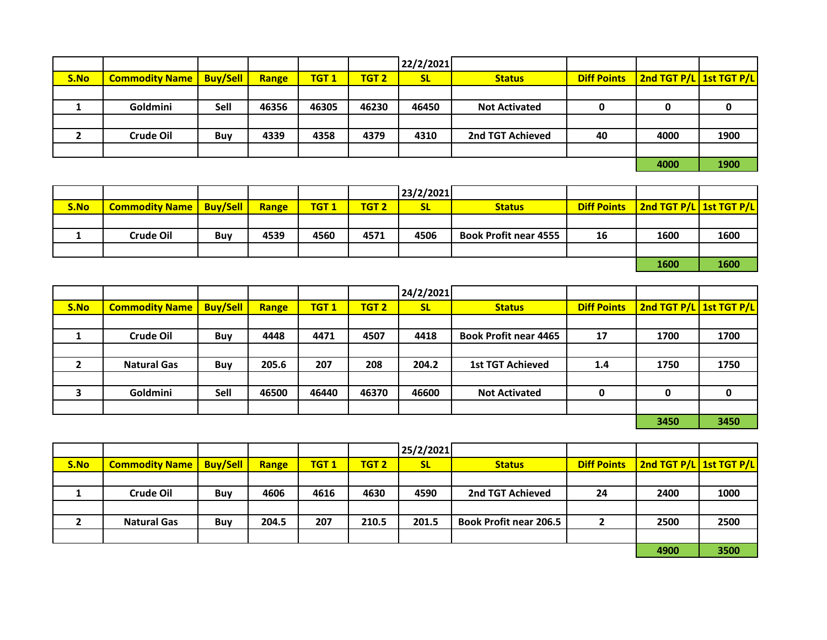|      |                       |                 |       |             |                  | 22/2/2021 |                      |    |                                       |      |
|------|-----------------------|-----------------|-------|-------------|------------------|-----------|----------------------|----|---------------------------------------|------|
| S.No | <b>Commodity Name</b> | <b>Buy/Sell</b> | Range | <b>TGT1</b> | TGT <sub>2</sub> | <b>SL</b> | <b>Status</b>        |    | Diff Points   2nd TGT P/L 1st TGT P/L |      |
|      |                       |                 |       |             |                  |           |                      |    |                                       |      |
|      | Goldmini              | Sell            | 46356 | 46305       | 46230            | 46450     | <b>Not Activated</b> |    |                                       |      |
|      |                       |                 |       |             |                  |           |                      |    |                                       |      |
|      | Crude Oil             | <b>Buy</b>      | 4339  | 4358        | 4379             | 4310      | 2nd TGT Achieved     | 40 | 4000                                  | 1900 |
|      |                       |                 |       |             |                  |           |                      |    |                                       |      |
|      |                       |                 |       |             |                  |           |                      |    | 4000                                  | 1900 |

|      |                                  |            |       |                  |                  | 23/2/2021 |                              |    |                                       |      |
|------|----------------------------------|------------|-------|------------------|------------------|-----------|------------------------------|----|---------------------------------------|------|
| S.No | <b>Commodity Name   Buy/Sell</b> |            | Range | TGT <sub>1</sub> | TGT <sub>2</sub> | <b>SL</b> | <b>Status</b>                |    | Diff Points   2nd TGT P/L 1st TGT P/L |      |
|      |                                  |            |       |                  |                  |           |                              |    |                                       |      |
|      | Crude Oil                        | <b>Buv</b> | 4539  | 4560             | 4571             | 4506      | <b>Book Profit near 4555</b> | 16 | 1600                                  | 1600 |
|      |                                  |            |       |                  |                  |           |                              |    |                                       |      |
|      |                                  |            |       |                  |                  |           |                              |    | 1600                                  | 1600 |

|                |                       |                 |       |             |                  | 24/2/2021 |                              |                    |                         |      |
|----------------|-----------------------|-----------------|-------|-------------|------------------|-----------|------------------------------|--------------------|-------------------------|------|
| S.No           | <b>Commodity Name</b> | <b>Buy/Sell</b> | Range | <b>TGT1</b> | TGT <sub>2</sub> | <b>SL</b> | <b>Status</b>                | <b>Diff Points</b> | 2nd TGT P/L 1st TGT P/L |      |
|                |                       |                 |       |             |                  |           |                              |                    |                         |      |
|                | Crude Oil             | <b>Buy</b>      | 4448  | 4471        | 4507             | 4418      | <b>Book Profit near 4465</b> | 17                 | 1700                    | 1700 |
|                |                       |                 |       |             |                  |           |                              |                    |                         |      |
| $\overline{2}$ | <b>Natural Gas</b>    | <b>Buy</b>      | 205.6 | 207         | 208              | 204.2     | <b>1st TGT Achieved</b>      | 1.4                | 1750                    | 1750 |
|                |                       |                 |       |             |                  |           |                              |                    |                         |      |
| 3              | Goldmini              | Sell            | 46500 | 46440       | 46370            | 46600     | <b>Not Activated</b>         | 0                  |                         | 0    |
|                |                       |                 |       |             |                  |           |                              |                    |                         |      |
|                |                       |                 |       |             |                  |           |                              |                    | 3450                    | 3450 |

|      |                                  |     |       |             |                  | 25/2/2021 |                               |                    |                         |      |
|------|----------------------------------|-----|-------|-------------|------------------|-----------|-------------------------------|--------------------|-------------------------|------|
| S.No | <b>Commodity Name   Buy/Sell</b> |     | Range | <b>TGT1</b> | TGT <sub>2</sub> | <b>SL</b> | <b>Status</b>                 | <b>Diff Points</b> | 2nd TGT P/L 1st TGT P/L |      |
|      |                                  |     |       |             |                  |           |                               |                    |                         |      |
|      | Crude Oil                        | Buy | 4606  | 4616        | 4630             | 4590      | 2nd TGT Achieved              | 24                 | 2400                    | 1000 |
|      |                                  |     |       |             |                  |           |                               |                    |                         |      |
|      | <b>Natural Gas</b>               | Buy | 204.5 | 207         | 210.5            | 201.5     | <b>Book Profit near 206.5</b> |                    | 2500                    | 2500 |
|      |                                  |     |       |             |                  |           |                               |                    |                         |      |
|      |                                  |     |       |             |                  |           |                               |                    | 4900                    | 3500 |